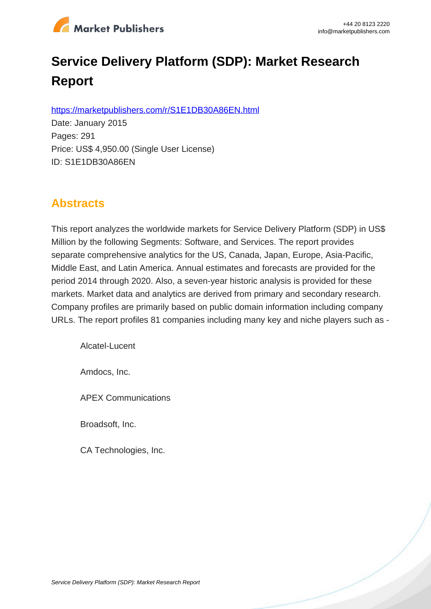

# **Service Delivery Platform (SDP): Market Research Report**

https://marketpublishers.com/r/S1E1DB30A86EN.html

Date: January 2015 Pages: 291 Price: US\$ 4,950.00 (Single User License) ID: S1E1DB30A86EN

# **Abstracts**

This report analyzes the worldwide markets for Service Delivery Platform (SDP) in US\$ Million by the following Segments: Software, and Services. The report provides separate comprehensive analytics for the US, Canada, Japan, Europe, Asia-Pacific, Middle East, and Latin America. Annual estimates and forecasts are provided for the period 2014 through 2020. Also, a seven-year historic analysis is provided for these markets. Market data and analytics are derived from primary and secondary research. Company profiles are primarily based on public domain information including company URLs. The report profiles 81 companies including many key and niche players such as -

Alcatel-Lucent

Amdocs, Inc.

APEX Communications

Broadsoft, Inc.

CA Technologies, Inc.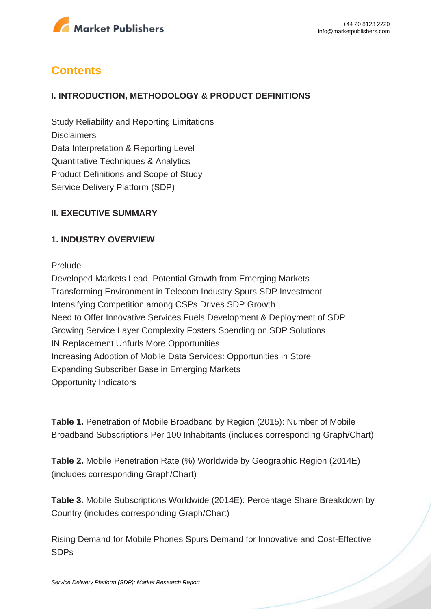

# **Contents**

#### **I. INTRODUCTION, METHODOLOGY & PRODUCT DEFINITIONS**

Study Reliability and Reporting Limitations **Disclaimers** Data Interpretation & Reporting Level Quantitative Techniques & Analytics Product Definitions and Scope of Study Service Delivery Platform (SDP)

#### **II. EXECUTIVE SUMMARY**

#### **1. INDUSTRY OVERVIEW**

#### Prelude

Developed Markets Lead, Potential Growth from Emerging Markets Transforming Environment in Telecom Industry Spurs SDP Investment Intensifying Competition among CSPs Drives SDP Growth Need to Offer Innovative Services Fuels Development & Deployment of SDP Growing Service Layer Complexity Fosters Spending on SDP Solutions IN Replacement Unfurls More Opportunities Increasing Adoption of Mobile Data Services: Opportunities in Store Expanding Subscriber Base in Emerging Markets Opportunity Indicators

**Table 1.** Penetration of Mobile Broadband by Region (2015): Number of Mobile Broadband Subscriptions Per 100 Inhabitants (includes corresponding Graph/Chart)

**Table 2.** Mobile Penetration Rate (%) Worldwide by Geographic Region (2014E) (includes corresponding Graph/Chart)

**Table 3.** Mobile Subscriptions Worldwide (2014E): Percentage Share Breakdown by Country (includes corresponding Graph/Chart)

Rising Demand for Mobile Phones Spurs Demand for Innovative and Cost-Effective SDPs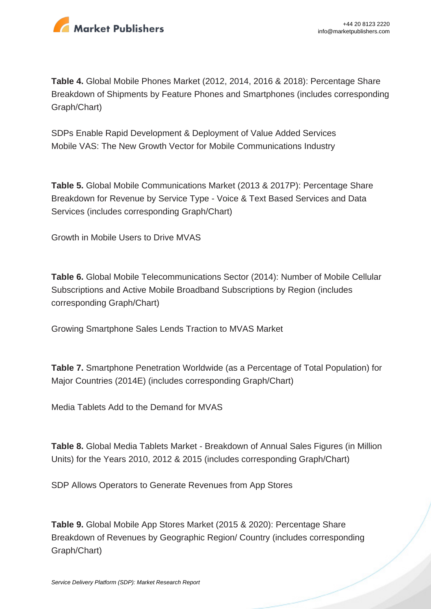

**Table 4.** Global Mobile Phones Market (2012, 2014, 2016 & 2018): Percentage Share Breakdown of Shipments by Feature Phones and Smartphones (includes corresponding Graph/Chart)

SDPs Enable Rapid Development & Deployment of Value Added Services Mobile VAS: The New Growth Vector for Mobile Communications Industry

**Table 5.** Global Mobile Communications Market (2013 & 2017P): Percentage Share Breakdown for Revenue by Service Type - Voice & Text Based Services and Data Services (includes corresponding Graph/Chart)

Growth in Mobile Users to Drive MVAS

**Table 6.** Global Mobile Telecommunications Sector (2014): Number of Mobile Cellular Subscriptions and Active Mobile Broadband Subscriptions by Region (includes corresponding Graph/Chart)

Growing Smartphone Sales Lends Traction to MVAS Market

**Table 7.** Smartphone Penetration Worldwide (as a Percentage of Total Population) for Major Countries (2014E) (includes corresponding Graph/Chart)

Media Tablets Add to the Demand for MVAS

**Table 8.** Global Media Tablets Market - Breakdown of Annual Sales Figures (in Million Units) for the Years 2010, 2012 & 2015 (includes corresponding Graph/Chart)

SDP Allows Operators to Generate Revenues from App Stores

**Table 9.** Global Mobile App Stores Market (2015 & 2020): Percentage Share Breakdown of Revenues by Geographic Region/ Country (includes corresponding Graph/Chart)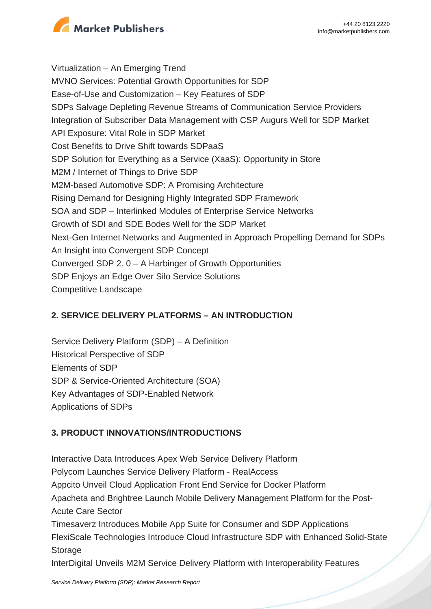

Virtualization – An Emerging Trend MVNO Services: Potential Growth Opportunities for SDP Ease-of-Use and Customization – Key Features of SDP SDPs Salvage Depleting Revenue Streams of Communication Service Providers Integration of Subscriber Data Management with CSP Augurs Well for SDP Market API Exposure: Vital Role in SDP Market Cost Benefits to Drive Shift towards SDPaaS SDP Solution for Everything as a Service (XaaS): Opportunity in Store M2M / Internet of Things to Drive SDP M2M-based Automotive SDP: A Promising Architecture Rising Demand for Designing Highly Integrated SDP Framework SOA and SDP – Interlinked Modules of Enterprise Service Networks Growth of SDI and SDE Bodes Well for the SDP Market Next-Gen Internet Networks and Augmented in Approach Propelling Demand for SDPs An Insight into Convergent SDP Concept Converged SDP 2. 0 – A Harbinger of Growth Opportunities SDP Enjoys an Edge Over Silo Service Solutions Competitive Landscape

#### **2. SERVICE DELIVERY PLATFORMS – AN INTRODUCTION**

Service Delivery Platform (SDP) – A Definition Historical Perspective of SDP Elements of SDP SDP & Service-Oriented Architecture (SOA) Key Advantages of SDP-Enabled Network Applications of SDPs

#### **3. PRODUCT INNOVATIONS/INTRODUCTIONS**

Interactive Data Introduces Apex Web Service Delivery Platform Polycom Launches Service Delivery Platform - RealAccess Appcito Unveil Cloud Application Front End Service for Docker Platform Apacheta and Brightree Launch Mobile Delivery Management Platform for the Post-Acute Care Sector Timesaverz Introduces Mobile App Suite for Consumer and SDP Applications FlexiScale Technologies Introduce Cloud Infrastructure SDP with Enhanced Solid-State **Storage** InterDigital Unveils M2M Service Delivery Platform with Interoperability Features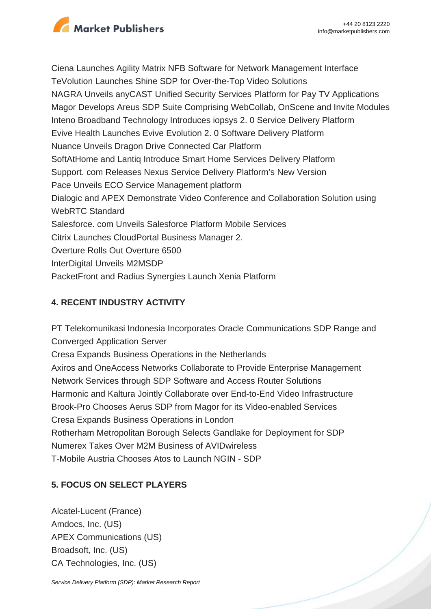

Ciena Launches Agility Matrix NFB Software for Network Management Interface TeVolution Launches Shine SDP for Over-the-Top Video Solutions NAGRA Unveils anyCAST Unified Security Services Platform for Pay TV Applications Magor Develops Areus SDP Suite Comprising WebCollab, OnScene and Invite Modules Inteno Broadband Technology Introduces iopsys 2. 0 Service Delivery Platform Evive Health Launches Evive Evolution 2. 0 Software Delivery Platform Nuance Unveils Dragon Drive Connected Car Platform SoftAtHome and Lantiq Introduce Smart Home Services Delivery Platform Support. com Releases Nexus Service Delivery Platform's New Version Pace Unveils ECO Service Management platform Dialogic and APEX Demonstrate Video Conference and Collaboration Solution using WebRTC Standard Salesforce. com Unveils Salesforce Platform Mobile Services Citrix Launches CloudPortal Business Manager 2. Overture Rolls Out Overture 6500 InterDigital Unveils M2MSDP PacketFront and Radius Synergies Launch Xenia Platform

### **4. RECENT INDUSTRY ACTIVITY**

PT Telekomunikasi Indonesia Incorporates Oracle Communications SDP Range and Converged Application Server Cresa Expands Business Operations in the Netherlands Axiros and OneAccess Networks Collaborate to Provide Enterprise Management Network Services through SDP Software and Access Router Solutions Harmonic and Kaltura Jointly Collaborate over End-to-End Video Infrastructure Brook-Pro Chooses Aerus SDP from Magor for its Video-enabled Services Cresa Expands Business Operations in London Rotherham Metropolitan Borough Selects Gandlake for Deployment for SDP Numerex Takes Over M2M Business of AVIDwireless T-Mobile Austria Chooses Atos to Launch NGIN - SDP

## **5. FOCUS ON SELECT PLAYERS**

Alcatel-Lucent (France) Amdocs, Inc. (US) APEX Communications (US) Broadsoft, Inc. (US) CA Technologies, Inc. (US)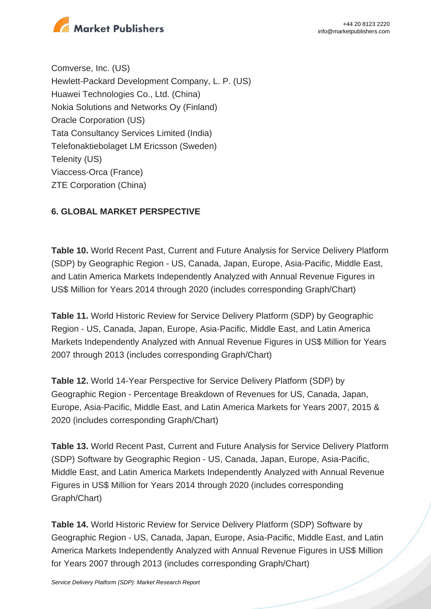

Comverse, Inc. (US) Hewlett-Packard Development Company, L. P. (US) Huawei Technologies Co., Ltd. (China) Nokia Solutions and Networks Oy (Finland) Oracle Corporation (US) Tata Consultancy Services Limited (India) Telefonaktiebolaget LM Ericsson (Sweden) Telenity (US) Viaccess-Orca (France) ZTE Corporation (China)

#### **6. GLOBAL MARKET PERSPECTIVE**

**Table 10.** World Recent Past, Current and Future Analysis for Service Delivery Platform (SDP) by Geographic Region - US, Canada, Japan, Europe, Asia-Pacific, Middle East, and Latin America Markets Independently Analyzed with Annual Revenue Figures in US\$ Million for Years 2014 through 2020 (includes corresponding Graph/Chart)

**Table 11.** World Historic Review for Service Delivery Platform (SDP) by Geographic Region - US, Canada, Japan, Europe, Asia-Pacific, Middle East, and Latin America Markets Independently Analyzed with Annual Revenue Figures in US\$ Million for Years 2007 through 2013 (includes corresponding Graph/Chart)

**Table 12.** World 14-Year Perspective for Service Delivery Platform (SDP) by Geographic Region - Percentage Breakdown of Revenues for US, Canada, Japan, Europe, Asia-Pacific, Middle East, and Latin America Markets for Years 2007, 2015 & 2020 (includes corresponding Graph/Chart)

**Table 13.** World Recent Past, Current and Future Analysis for Service Delivery Platform (SDP) Software by Geographic Region - US, Canada, Japan, Europe, Asia-Pacific, Middle East, and Latin America Markets Independently Analyzed with Annual Revenue Figures in US\$ Million for Years 2014 through 2020 (includes corresponding Graph/Chart)

**Table 14.** World Historic Review for Service Delivery Platform (SDP) Software by Geographic Region - US, Canada, Japan, Europe, Asia-Pacific, Middle East, and Latin America Markets Independently Analyzed with Annual Revenue Figures in US\$ Million for Years 2007 through 2013 (includes corresponding Graph/Chart)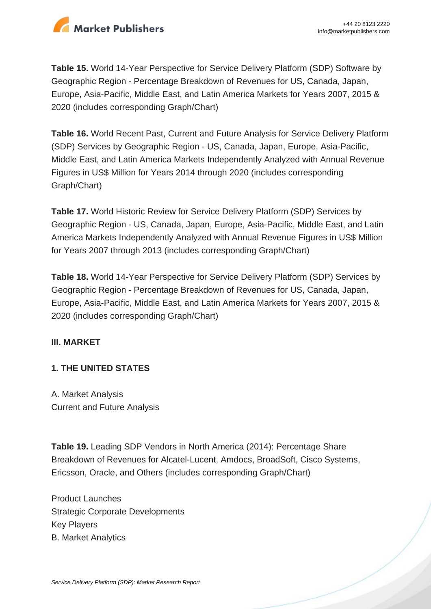

**Table 15.** World 14-Year Perspective for Service Delivery Platform (SDP) Software by Geographic Region - Percentage Breakdown of Revenues for US, Canada, Japan, Europe, Asia-Pacific, Middle East, and Latin America Markets for Years 2007, 2015 & 2020 (includes corresponding Graph/Chart)

**Table 16.** World Recent Past, Current and Future Analysis for Service Delivery Platform (SDP) Services by Geographic Region - US, Canada, Japan, Europe, Asia-Pacific, Middle East, and Latin America Markets Independently Analyzed with Annual Revenue Figures in US\$ Million for Years 2014 through 2020 (includes corresponding Graph/Chart)

**Table 17.** World Historic Review for Service Delivery Platform (SDP) Services by Geographic Region - US, Canada, Japan, Europe, Asia-Pacific, Middle East, and Latin America Markets Independently Analyzed with Annual Revenue Figures in US\$ Million for Years 2007 through 2013 (includes corresponding Graph/Chart)

**Table 18.** World 14-Year Perspective for Service Delivery Platform (SDP) Services by Geographic Region - Percentage Breakdown of Revenues for US, Canada, Japan, Europe, Asia-Pacific, Middle East, and Latin America Markets for Years 2007, 2015 & 2020 (includes corresponding Graph/Chart)

#### **III. MARKET**

#### **1. THE UNITED STATES**

A. Market Analysis Current and Future Analysis

**Table 19.** Leading SDP Vendors in North America (2014): Percentage Share Breakdown of Revenues for Alcatel-Lucent, Amdocs, BroadSoft, Cisco Systems, Ericsson, Oracle, and Others (includes corresponding Graph/Chart)

Product Launches Strategic Corporate Developments Key Players B. Market Analytics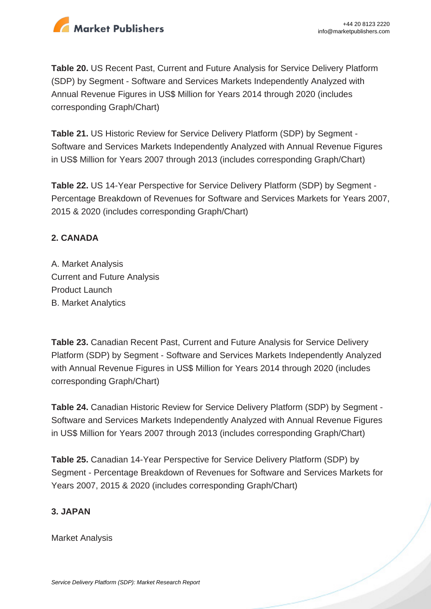

**Table 20.** US Recent Past, Current and Future Analysis for Service Delivery Platform (SDP) by Segment - Software and Services Markets Independently Analyzed with Annual Revenue Figures in US\$ Million for Years 2014 through 2020 (includes corresponding Graph/Chart)

**Table 21.** US Historic Review for Service Delivery Platform (SDP) by Segment - Software and Services Markets Independently Analyzed with Annual Revenue Figures in US\$ Million for Years 2007 through 2013 (includes corresponding Graph/Chart)

**Table 22.** US 14-Year Perspective for Service Delivery Platform (SDP) by Segment - Percentage Breakdown of Revenues for Software and Services Markets for Years 2007, 2015 & 2020 (includes corresponding Graph/Chart)

#### **2. CANADA**

A. Market Analysis Current and Future Analysis Product Launch B. Market Analytics

**Table 23.** Canadian Recent Past, Current and Future Analysis for Service Delivery Platform (SDP) by Segment - Software and Services Markets Independently Analyzed with Annual Revenue Figures in US\$ Million for Years 2014 through 2020 (includes corresponding Graph/Chart)

**Table 24.** Canadian Historic Review for Service Delivery Platform (SDP) by Segment - Software and Services Markets Independently Analyzed with Annual Revenue Figures in US\$ Million for Years 2007 through 2013 (includes corresponding Graph/Chart)

**Table 25.** Canadian 14-Year Perspective for Service Delivery Platform (SDP) by Segment - Percentage Breakdown of Revenues for Software and Services Markets for Years 2007, 2015 & 2020 (includes corresponding Graph/Chart)

#### **3. JAPAN**

Market Analysis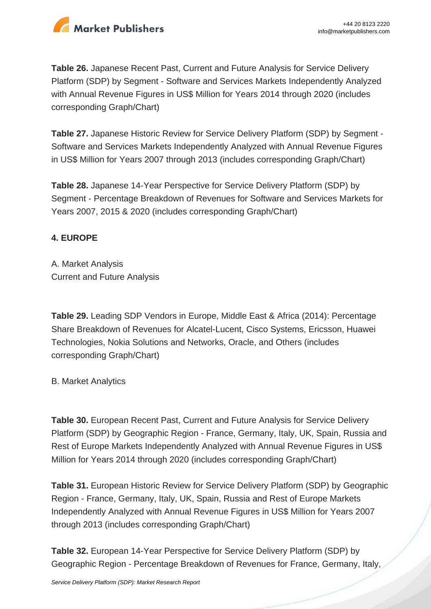

**Table 26.** Japanese Recent Past, Current and Future Analysis for Service Delivery Platform (SDP) by Segment - Software and Services Markets Independently Analyzed with Annual Revenue Figures in US\$ Million for Years 2014 through 2020 (includes corresponding Graph/Chart)

**Table 27.** Japanese Historic Review for Service Delivery Platform (SDP) by Segment - Software and Services Markets Independently Analyzed with Annual Revenue Figures in US\$ Million for Years 2007 through 2013 (includes corresponding Graph/Chart)

**Table 28.** Japanese 14-Year Perspective for Service Delivery Platform (SDP) by Segment - Percentage Breakdown of Revenues for Software and Services Markets for Years 2007, 2015 & 2020 (includes corresponding Graph/Chart)

#### **4. EUROPE**

A. Market Analysis Current and Future Analysis

**Table 29.** Leading SDP Vendors in Europe, Middle East & Africa (2014): Percentage Share Breakdown of Revenues for Alcatel-Lucent, Cisco Systems, Ericsson, Huawei Technologies, Nokia Solutions and Networks, Oracle, and Others (includes corresponding Graph/Chart)

B. Market Analytics

**Table 30.** European Recent Past, Current and Future Analysis for Service Delivery Platform (SDP) by Geographic Region - France, Germany, Italy, UK, Spain, Russia and Rest of Europe Markets Independently Analyzed with Annual Revenue Figures in US\$ Million for Years 2014 through 2020 (includes corresponding Graph/Chart)

**Table 31.** European Historic Review for Service Delivery Platform (SDP) by Geographic Region - France, Germany, Italy, UK, Spain, Russia and Rest of Europe Markets Independently Analyzed with Annual Revenue Figures in US\$ Million for Years 2007 through 2013 (includes corresponding Graph/Chart)

**Table 32.** European 14-Year Perspective for Service Delivery Platform (SDP) by Geographic Region - Percentage Breakdown of Revenues for France, Germany, Italy,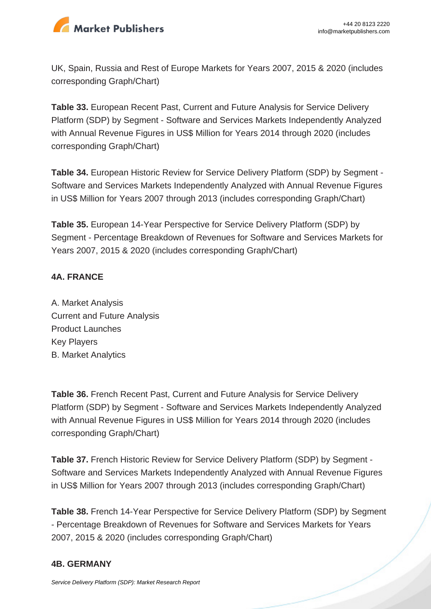

UK, Spain, Russia and Rest of Europe Markets for Years 2007, 2015 & 2020 (includes corresponding Graph/Chart)

**Table 33.** European Recent Past, Current and Future Analysis for Service Delivery Platform (SDP) by Segment - Software and Services Markets Independently Analyzed with Annual Revenue Figures in US\$ Million for Years 2014 through 2020 (includes corresponding Graph/Chart)

**Table 34.** European Historic Review for Service Delivery Platform (SDP) by Segment - Software and Services Markets Independently Analyzed with Annual Revenue Figures in US\$ Million for Years 2007 through 2013 (includes corresponding Graph/Chart)

**Table 35.** European 14-Year Perspective for Service Delivery Platform (SDP) by Segment - Percentage Breakdown of Revenues for Software and Services Markets for Years 2007, 2015 & 2020 (includes corresponding Graph/Chart)

#### **4A. FRANCE**

A. Market Analysis Current and Future Analysis Product Launches Key Players B. Market Analytics

**Table 36.** French Recent Past, Current and Future Analysis for Service Delivery Platform (SDP) by Segment - Software and Services Markets Independently Analyzed with Annual Revenue Figures in US\$ Million for Years 2014 through 2020 (includes corresponding Graph/Chart)

**Table 37.** French Historic Review for Service Delivery Platform (SDP) by Segment - Software and Services Markets Independently Analyzed with Annual Revenue Figures in US\$ Million for Years 2007 through 2013 (includes corresponding Graph/Chart)

**Table 38.** French 14-Year Perspective for Service Delivery Platform (SDP) by Segment - Percentage Breakdown of Revenues for Software and Services Markets for Years 2007, 2015 & 2020 (includes corresponding Graph/Chart)

#### **4B. GERMANY**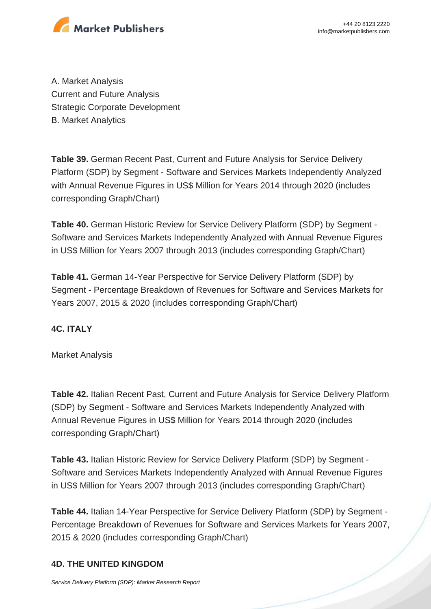

A. Market Analysis Current and Future Analysis Strategic Corporate Development B. Market Analytics

**Table 39.** German Recent Past, Current and Future Analysis for Service Delivery Platform (SDP) by Segment - Software and Services Markets Independently Analyzed with Annual Revenue Figures in US\$ Million for Years 2014 through 2020 (includes corresponding Graph/Chart)

**Table 40.** German Historic Review for Service Delivery Platform (SDP) by Segment - Software and Services Markets Independently Analyzed with Annual Revenue Figures in US\$ Million for Years 2007 through 2013 (includes corresponding Graph/Chart)

**Table 41.** German 14-Year Perspective for Service Delivery Platform (SDP) by Segment - Percentage Breakdown of Revenues for Software and Services Markets for Years 2007, 2015 & 2020 (includes corresponding Graph/Chart)

#### **4C. ITALY**

Market Analysis

**Table 42.** Italian Recent Past, Current and Future Analysis for Service Delivery Platform (SDP) by Segment - Software and Services Markets Independently Analyzed with Annual Revenue Figures in US\$ Million for Years 2014 through 2020 (includes corresponding Graph/Chart)

**Table 43.** Italian Historic Review for Service Delivery Platform (SDP) by Segment - Software and Services Markets Independently Analyzed with Annual Revenue Figures in US\$ Million for Years 2007 through 2013 (includes corresponding Graph/Chart)

**Table 44.** Italian 14-Year Perspective for Service Delivery Platform (SDP) by Segment - Percentage Breakdown of Revenues for Software and Services Markets for Years 2007, 2015 & 2020 (includes corresponding Graph/Chart)

#### **4D. THE UNITED KINGDOM**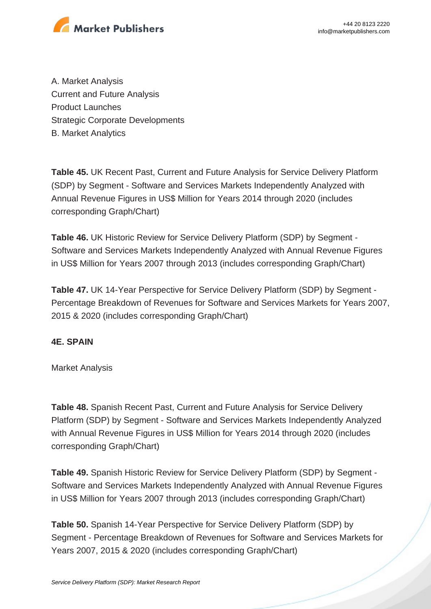

A. Market Analysis Current and Future Analysis Product Launches Strategic Corporate Developments B. Market Analytics

**Table 45.** UK Recent Past, Current and Future Analysis for Service Delivery Platform (SDP) by Segment - Software and Services Markets Independently Analyzed with Annual Revenue Figures in US\$ Million for Years 2014 through 2020 (includes corresponding Graph/Chart)

**Table 46.** UK Historic Review for Service Delivery Platform (SDP) by Segment - Software and Services Markets Independently Analyzed with Annual Revenue Figures in US\$ Million for Years 2007 through 2013 (includes corresponding Graph/Chart)

**Table 47.** UK 14-Year Perspective for Service Delivery Platform (SDP) by Segment - Percentage Breakdown of Revenues for Software and Services Markets for Years 2007, 2015 & 2020 (includes corresponding Graph/Chart)

#### **4E. SPAIN**

Market Analysis

**Table 48.** Spanish Recent Past, Current and Future Analysis for Service Delivery Platform (SDP) by Segment - Software and Services Markets Independently Analyzed with Annual Revenue Figures in US\$ Million for Years 2014 through 2020 (includes corresponding Graph/Chart)

**Table 49.** Spanish Historic Review for Service Delivery Platform (SDP) by Segment - Software and Services Markets Independently Analyzed with Annual Revenue Figures in US\$ Million for Years 2007 through 2013 (includes corresponding Graph/Chart)

**Table 50.** Spanish 14-Year Perspective for Service Delivery Platform (SDP) by Segment - Percentage Breakdown of Revenues for Software and Services Markets for Years 2007, 2015 & 2020 (includes corresponding Graph/Chart)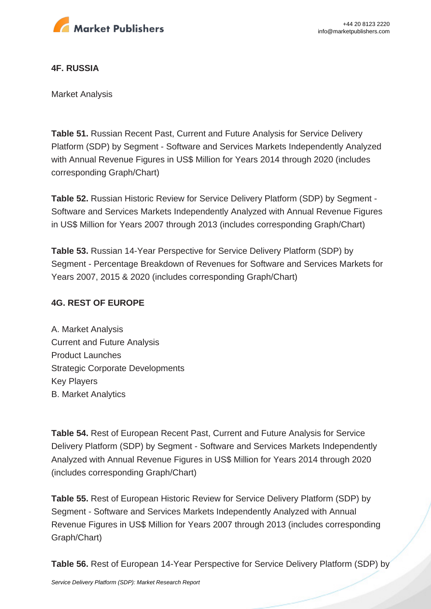

#### **4F. RUSSIA**

Market Analysis

**Table 51.** Russian Recent Past, Current and Future Analysis for Service Delivery Platform (SDP) by Segment - Software and Services Markets Independently Analyzed with Annual Revenue Figures in US\$ Million for Years 2014 through 2020 (includes corresponding Graph/Chart)

**Table 52.** Russian Historic Review for Service Delivery Platform (SDP) by Segment - Software and Services Markets Independently Analyzed with Annual Revenue Figures in US\$ Million for Years 2007 through 2013 (includes corresponding Graph/Chart)

**Table 53.** Russian 14-Year Perspective for Service Delivery Platform (SDP) by Segment - Percentage Breakdown of Revenues for Software and Services Markets for Years 2007, 2015 & 2020 (includes corresponding Graph/Chart)

#### **4G. REST OF EUROPE**

A. Market Analysis Current and Future Analysis Product Launches Strategic Corporate Developments Key Players B. Market Analytics

**Table 54.** Rest of European Recent Past, Current and Future Analysis for Service Delivery Platform (SDP) by Segment - Software and Services Markets Independently Analyzed with Annual Revenue Figures in US\$ Million for Years 2014 through 2020 (includes corresponding Graph/Chart)

**Table 55.** Rest of European Historic Review for Service Delivery Platform (SDP) by Segment - Software and Services Markets Independently Analyzed with Annual Revenue Figures in US\$ Million for Years 2007 through 2013 (includes corresponding Graph/Chart)

**Table 56.** Rest of European 14-Year Perspective for Service Delivery Platform (SDP) by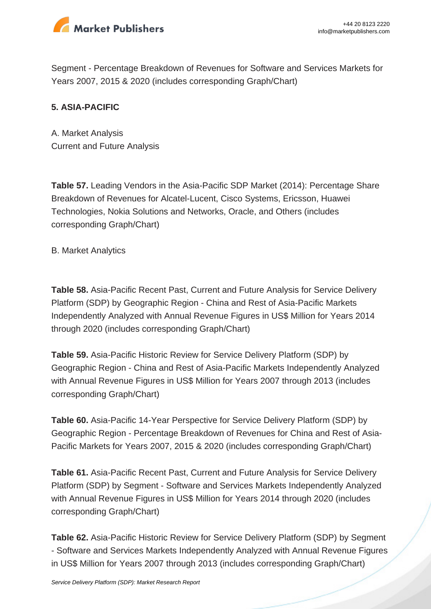

Segment - Percentage Breakdown of Revenues for Software and Services Markets for Years 2007, 2015 & 2020 (includes corresponding Graph/Chart)

#### **5. ASIA-PACIFIC**

A. Market Analysis Current and Future Analysis

**Table 57.** Leading Vendors in the Asia-Pacific SDP Market (2014): Percentage Share Breakdown of Revenues for Alcatel-Lucent, Cisco Systems, Ericsson, Huawei Technologies, Nokia Solutions and Networks, Oracle, and Others (includes corresponding Graph/Chart)

B. Market Analytics

**Table 58.** Asia-Pacific Recent Past, Current and Future Analysis for Service Delivery Platform (SDP) by Geographic Region - China and Rest of Asia-Pacific Markets Independently Analyzed with Annual Revenue Figures in US\$ Million for Years 2014 through 2020 (includes corresponding Graph/Chart)

**Table 59.** Asia-Pacific Historic Review for Service Delivery Platform (SDP) by Geographic Region - China and Rest of Asia-Pacific Markets Independently Analyzed with Annual Revenue Figures in US\$ Million for Years 2007 through 2013 (includes corresponding Graph/Chart)

**Table 60.** Asia-Pacific 14-Year Perspective for Service Delivery Platform (SDP) by Geographic Region - Percentage Breakdown of Revenues for China and Rest of Asia-Pacific Markets for Years 2007, 2015 & 2020 (includes corresponding Graph/Chart)

**Table 61.** Asia-Pacific Recent Past, Current and Future Analysis for Service Delivery Platform (SDP) by Segment - Software and Services Markets Independently Analyzed with Annual Revenue Figures in US\$ Million for Years 2014 through 2020 (includes corresponding Graph/Chart)

**Table 62.** Asia-Pacific Historic Review for Service Delivery Platform (SDP) by Segment - Software and Services Markets Independently Analyzed with Annual Revenue Figures in US\$ Million for Years 2007 through 2013 (includes corresponding Graph/Chart)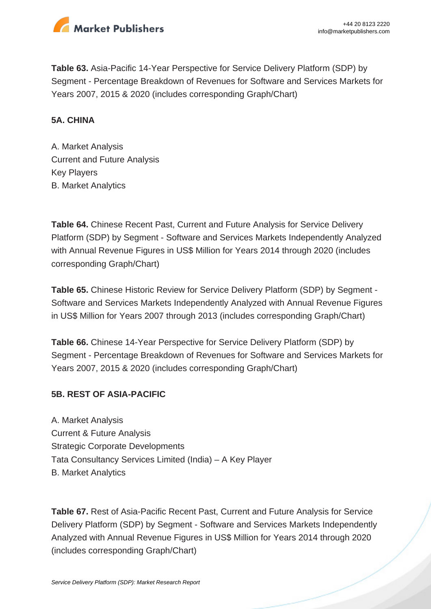

**Table 63.** Asia-Pacific 14-Year Perspective for Service Delivery Platform (SDP) by Segment - Percentage Breakdown of Revenues for Software and Services Markets for Years 2007, 2015 & 2020 (includes corresponding Graph/Chart)

#### **5A. CHINA**

A. Market Analysis Current and Future Analysis Key Players B. Market Analytics

**Table 64.** Chinese Recent Past, Current and Future Analysis for Service Delivery Platform (SDP) by Segment - Software and Services Markets Independently Analyzed with Annual Revenue Figures in US\$ Million for Years 2014 through 2020 (includes corresponding Graph/Chart)

**Table 65.** Chinese Historic Review for Service Delivery Platform (SDP) by Segment - Software and Services Markets Independently Analyzed with Annual Revenue Figures in US\$ Million for Years 2007 through 2013 (includes corresponding Graph/Chart)

**Table 66.** Chinese 14-Year Perspective for Service Delivery Platform (SDP) by Segment - Percentage Breakdown of Revenues for Software and Services Markets for Years 2007, 2015 & 2020 (includes corresponding Graph/Chart)

#### **5B. REST OF ASIA-PACIFIC**

A. Market Analysis Current & Future Analysis Strategic Corporate Developments Tata Consultancy Services Limited (India) – A Key Player B. Market Analytics

**Table 67.** Rest of Asia-Pacific Recent Past, Current and Future Analysis for Service Delivery Platform (SDP) by Segment - Software and Services Markets Independently Analyzed with Annual Revenue Figures in US\$ Million for Years 2014 through 2020 (includes corresponding Graph/Chart)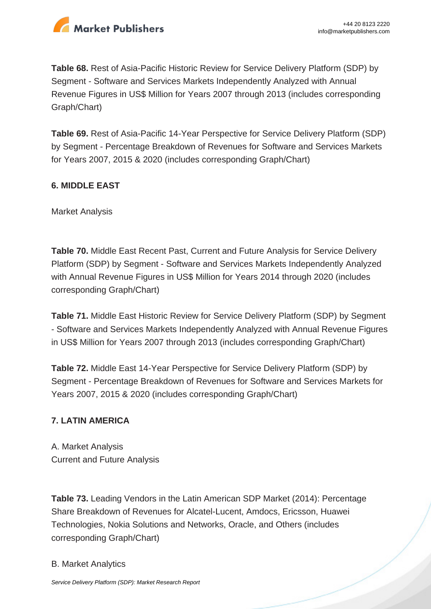

**Table 68.** Rest of Asia-Pacific Historic Review for Service Delivery Platform (SDP) by Segment - Software and Services Markets Independently Analyzed with Annual Revenue Figures in US\$ Million for Years 2007 through 2013 (includes corresponding Graph/Chart)

**Table 69.** Rest of Asia-Pacific 14-Year Perspective for Service Delivery Platform (SDP) by Segment - Percentage Breakdown of Revenues for Software and Services Markets for Years 2007, 2015 & 2020 (includes corresponding Graph/Chart)

#### **6. MIDDLE EAST**

Market Analysis

**Table 70.** Middle East Recent Past, Current and Future Analysis for Service Delivery Platform (SDP) by Segment - Software and Services Markets Independently Analyzed with Annual Revenue Figures in US\$ Million for Years 2014 through 2020 (includes corresponding Graph/Chart)

**Table 71.** Middle East Historic Review for Service Delivery Platform (SDP) by Segment - Software and Services Markets Independently Analyzed with Annual Revenue Figures in US\$ Million for Years 2007 through 2013 (includes corresponding Graph/Chart)

**Table 72.** Middle East 14-Year Perspective for Service Delivery Platform (SDP) by Segment - Percentage Breakdown of Revenues for Software and Services Markets for Years 2007, 2015 & 2020 (includes corresponding Graph/Chart)

#### **7. LATIN AMERICA**

A. Market Analysis Current and Future Analysis

**Table 73.** Leading Vendors in the Latin American SDP Market (2014): Percentage Share Breakdown of Revenues for Alcatel-Lucent, Amdocs, Ericsson, Huawei Technologies, Nokia Solutions and Networks, Oracle, and Others (includes corresponding Graph/Chart)

#### B. Market Analytics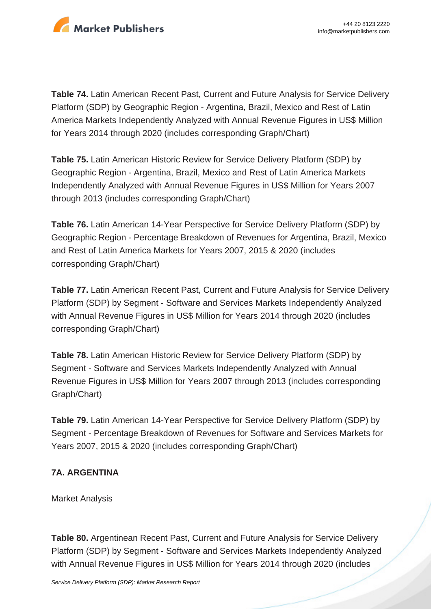

**Table 74.** Latin American Recent Past, Current and Future Analysis for Service Delivery Platform (SDP) by Geographic Region - Argentina, Brazil, Mexico and Rest of Latin America Markets Independently Analyzed with Annual Revenue Figures in US\$ Million for Years 2014 through 2020 (includes corresponding Graph/Chart)

**Table 75.** Latin American Historic Review for Service Delivery Platform (SDP) by Geographic Region - Argentina, Brazil, Mexico and Rest of Latin America Markets Independently Analyzed with Annual Revenue Figures in US\$ Million for Years 2007 through 2013 (includes corresponding Graph/Chart)

**Table 76.** Latin American 14-Year Perspective for Service Delivery Platform (SDP) by Geographic Region - Percentage Breakdown of Revenues for Argentina, Brazil, Mexico and Rest of Latin America Markets for Years 2007, 2015 & 2020 (includes corresponding Graph/Chart)

**Table 77.** Latin American Recent Past, Current and Future Analysis for Service Delivery Platform (SDP) by Segment - Software and Services Markets Independently Analyzed with Annual Revenue Figures in US\$ Million for Years 2014 through 2020 (includes corresponding Graph/Chart)

**Table 78.** Latin American Historic Review for Service Delivery Platform (SDP) by Segment - Software and Services Markets Independently Analyzed with Annual Revenue Figures in US\$ Million for Years 2007 through 2013 (includes corresponding Graph/Chart)

**Table 79.** Latin American 14-Year Perspective for Service Delivery Platform (SDP) by Segment - Percentage Breakdown of Revenues for Software and Services Markets for Years 2007, 2015 & 2020 (includes corresponding Graph/Chart)

#### **7A. ARGENTINA**

Market Analysis

**Table 80.** Argentinean Recent Past, Current and Future Analysis for Service Delivery Platform (SDP) by Segment - Software and Services Markets Independently Analyzed with Annual Revenue Figures in US\$ Million for Years 2014 through 2020 (includes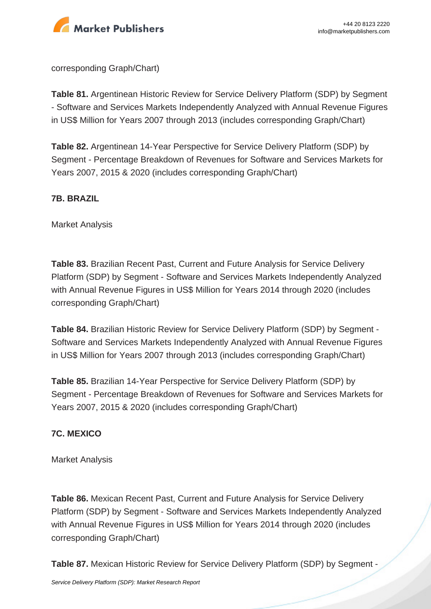

corresponding Graph/Chart)

**Table 81.** Argentinean Historic Review for Service Delivery Platform (SDP) by Segment - Software and Services Markets Independently Analyzed with Annual Revenue Figures in US\$ Million for Years 2007 through 2013 (includes corresponding Graph/Chart)

**Table 82.** Argentinean 14-Year Perspective for Service Delivery Platform (SDP) by Segment - Percentage Breakdown of Revenues for Software and Services Markets for Years 2007, 2015 & 2020 (includes corresponding Graph/Chart)

#### **7B. BRAZIL**

Market Analysis

**Table 83.** Brazilian Recent Past, Current and Future Analysis for Service Delivery Platform (SDP) by Segment - Software and Services Markets Independently Analyzed with Annual Revenue Figures in US\$ Million for Years 2014 through 2020 (includes corresponding Graph/Chart)

**Table 84.** Brazilian Historic Review for Service Delivery Platform (SDP) by Segment - Software and Services Markets Independently Analyzed with Annual Revenue Figures in US\$ Million for Years 2007 through 2013 (includes corresponding Graph/Chart)

**Table 85.** Brazilian 14-Year Perspective for Service Delivery Platform (SDP) by Segment - Percentage Breakdown of Revenues for Software and Services Markets for Years 2007, 2015 & 2020 (includes corresponding Graph/Chart)

#### **7C. MEXICO**

Market Analysis

**Table 86.** Mexican Recent Past, Current and Future Analysis for Service Delivery Platform (SDP) by Segment - Software and Services Markets Independently Analyzed with Annual Revenue Figures in US\$ Million for Years 2014 through 2020 (includes corresponding Graph/Chart)

**Table 87.** Mexican Historic Review for Service Delivery Platform (SDP) by Segment -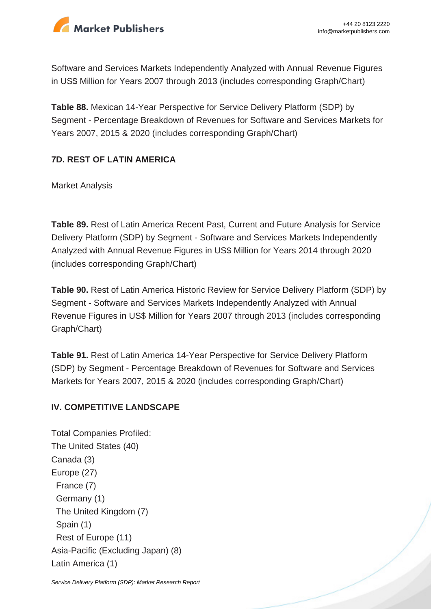

Software and Services Markets Independently Analyzed with Annual Revenue Figures in US\$ Million for Years 2007 through 2013 (includes corresponding Graph/Chart)

**Table 88.** Mexican 14-Year Perspective for Service Delivery Platform (SDP) by Segment - Percentage Breakdown of Revenues for Software and Services Markets for Years 2007, 2015 & 2020 (includes corresponding Graph/Chart)

#### **7D. REST OF LATIN AMERICA**

Market Analysis

**Table 89.** Rest of Latin America Recent Past, Current and Future Analysis for Service Delivery Platform (SDP) by Segment - Software and Services Markets Independently Analyzed with Annual Revenue Figures in US\$ Million for Years 2014 through 2020 (includes corresponding Graph/Chart)

**Table 90.** Rest of Latin America Historic Review for Service Delivery Platform (SDP) by Segment - Software and Services Markets Independently Analyzed with Annual Revenue Figures in US\$ Million for Years 2007 through 2013 (includes corresponding Graph/Chart)

**Table 91.** Rest of Latin America 14-Year Perspective for Service Delivery Platform (SDP) by Segment - Percentage Breakdown of Revenues for Software and Services Markets for Years 2007, 2015 & 2020 (includes corresponding Graph/Chart)

#### **IV. COMPETITIVE LANDSCAPE**

Total Companies Profiled: The United States (40) Canada (3) Europe (27) France (7) Germany (1) The United Kingdom (7) Spain (1) Rest of Europe (11) Asia-Pacific (Excluding Japan) (8) Latin America (1)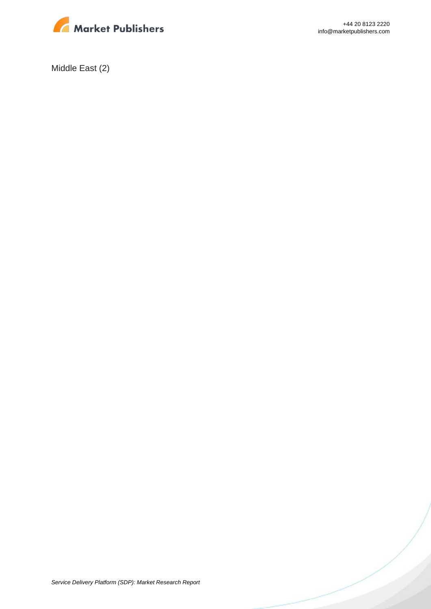

+44 20 8123 2220 info@marketpublishers.com

Middle East (2)